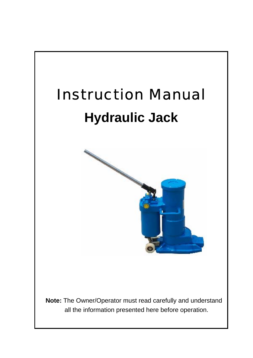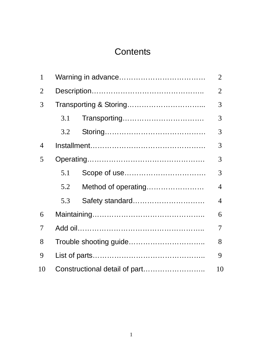# **Contents**

| 1              |     |                     |   |  |  |
|----------------|-----|---------------------|---|--|--|
| $\overline{2}$ |     |                     |   |  |  |
| 3              |     |                     |   |  |  |
|                | 3.1 |                     | 3 |  |  |
|                | 3.2 |                     | 3 |  |  |
| $\overline{4}$ |     |                     | 3 |  |  |
| 5              |     |                     |   |  |  |
|                | 5.1 |                     | 3 |  |  |
|                | 5.2 | Method of operating | 4 |  |  |
|                | 5.3 | Safety standard     | 4 |  |  |
| 6              |     |                     |   |  |  |
| 7              |     |                     |   |  |  |
| 8              |     |                     |   |  |  |
| 9              |     |                     |   |  |  |
| 10             |     |                     |   |  |  |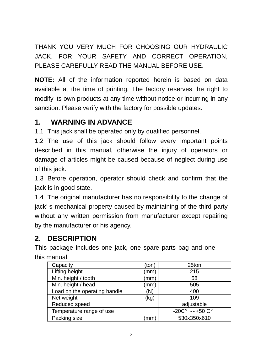THANK YOU VERY MUCH FOR CHOOSING OUR HYDRAULIC JACK. FOR YOUR SAFETY AND CORRECT OPERATION, PLEASE CAREFULLY READ THE MANUAL BEFORE USE.

**NOTE:** All of the information reported herein is based on data available at the time of printing. The factory reserves the right to modify its own products at any time without notice or incurring in any sanction. Please verify with the factory for possible updates.

### **1. WARNING IN ADVANCE**

1.1 This jack shall be operated only by qualified personnel.

1.2 The use of this jack should follow every important points described in this manual, otherwise the injury of operators or damage of articles might be caused because of neglect during use of this jack.

1.3 Before operation, operator should check and confirm that the jack is in good state.

1.4 The original manufacturer has no responsibility to the change of jack's mechanical property caused by maintaining of the third party without any written permission from manufacturer except repairing by the manufacturer or his agency.

# **2. DESCRIPTION**

This package includes one jack, one spare parts bag and one this manual.

| Capacity                     | (ton) | 25ton                            |
|------------------------------|-------|----------------------------------|
| Lifting height               | (mm)  | 215                              |
| Min. height / tooth          | (mm)  | 58                               |
| Min. height / head           | (mm)  | 505                              |
| Load on the operating handle | (N)   | 400                              |
| Net weight                   | (kg)  | 109                              |
| Reduced speed                |       | adjustable                       |
| Temperature range of use     |       | $-20C^{\circ}$ --+50 $C^{\circ}$ |
| Packing size                 | ˈmm   | 530x350x610                      |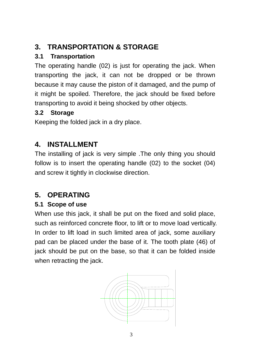# **3. TRANSPORTATION & STORAGE**

### **3.1 Transportation**

The operating handle (02) is just for operating the jack. When transporting the jack, it can not be dropped or be thrown because it may cause the piston of it damaged, and the pump of it might be spoiled. Therefore, the jack should be fixed before transporting to avoid it being shocked by other objects.

#### **3.2 Storage**

Keeping the folded jack in a dry place.

### **4. INSTALLMENT**

The installing of jack is very simple .The only thing you should follow is to insert the operating handle (02) to the socket (04) and screw it tightly in clockwise direction.

### **5. OPERATING**

#### **5.1 Scope of use**

When use this jack, it shall be put on the fixed and solid place, such as reinforced concrete floor, to lift or to move load vertically. In order to lift load in such limited area of jack, some auxiliary pad can be placed under the base of it. The tooth plate (46) of jack should be put on the base, so that it can be folded inside when retracting the jack.

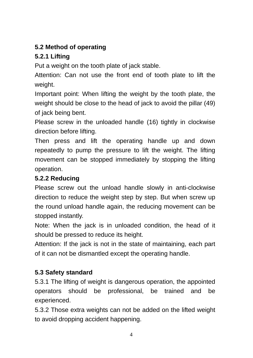#### **5.2 Method of operating**

#### **5.2.1 Lifting**

Put a weight on the tooth plate of jack stable.

Attention: Can not use the front end of tooth plate to lift the weight.

Important point: When lifting the weight by the tooth plate, the weight should be close to the head of jack to avoid the pillar (49) of jack being bent.

Please screw in the unloaded handle (16) tightly in clockwise direction before lifting.

Then press and lift the operating handle up and down repeatedly to pump the pressure to lift the weight. The lifting movement can be stopped immediately by stopping the lifting operation.

#### **5.2.2 Reducing**

Please screw out the unload handle slowly in anti-clockwise direction to reduce the weight step by step. But when screw up the round unload handle again, the reducing movement can be stopped instantly.

Note: When the jack is in unloaded condition, the head of it should be pressed to reduce its height.

Attention: If the jack is not in the state of maintaining, each part of it can not be dismantled except the operating handle.

### **5.3 Safety standard**

5.3.1 The lifting of weight is dangerous operation, the appointed operators should be professional, be trained and be experienced.

5.3.2 Those extra weights can not be added on the lifted weight to avoid dropping accident happening.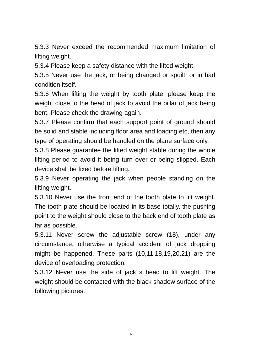5.3.3 Never exceed the recommended maximum limitation of lifting weight.

5.3.4 Please keep a safety distance with the lifted weight.

5.3.5 Never use the jack, or being changed or spoilt, or in bad condition itself.

5.3.6 When lifting the weight by tooth plate, please keep the weight close to the head of jack to avoid the pillar of jack being bent. Please check the drawing again.

5.3.7 Please confirm that each support point of ground should be solid and stable including floor area and loading etc, then any type of operating should be handled on the plane surface only.

5.3.8 Please guarantee the lifted weight stable during the whole lifting period to avoid it being turn over or being slipped. Each device shall be fixed before lifting.

5.3.9 Never operating the jack when people standing on the lifting weight.

5.3.10 Never use the front end of the tooth plate to lift weight. The tooth plate should be located in its base totally, the pushing point to the weight should close to the back end of tooth plate as far as possible.

5.3.11 Never screw the adjustable screw (18), under any circumstance, otherwise a typical accident of jack dropping might be happened. These parts (10,11,18,19,20,21) are the device of overloading protection.

5.3.12 Never use the side of jack's head to lift weight. The weight should be contacted with the black shadow surface of the following pictures.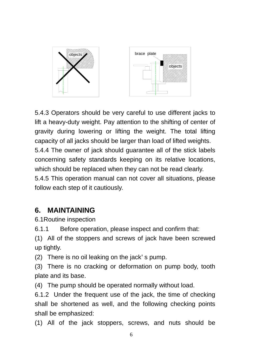

5.4.3 Operators should be very careful to use different jacks to lift a heavy-duty weight. Pay attention to the shifting of center of gravity during lowering or lifting the weight. The total lifting capacity of all jacks should be larger than load of lifted weights. 5.4.4 The owner of jack should guarantee all of the stick labels concerning safety standards keeping on its relative locations, which should be replaced when they can not be read clearly. 5.4.5 This operation manual can not cover all situations, please follow each step of it cautiously.

#### **6. MAINTAINING**

6.1Routine inspection

6.1.1 Before operation, please inspect and confirm that:

(1) All of the stoppers and screws of jack have been screwed up tightly.

(2) There is no oil leaking on the jack's pump.

(3) There is no cracking or deformation on pump body, tooth plate and its base.

(4) The pump should be operated normally without load.

6.1.2 Under the frequent use of the jack, the time of checking shall be shortened as well, and the following checking points shall be emphasized:

(1) All of the jack stoppers, screws, and nuts should be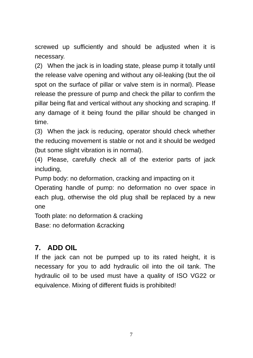screwed up sufficiently and should be adjusted when it is necessary.

(2) When the jack is in loading state, please pump it totally until the release valve opening and without any oil-leaking (but the oil spot on the surface of pillar or valve stem is in normal). Please release the pressure of pump and check the pillar to confirm the pillar being flat and vertical without any shocking and scraping. If any damage of it being found the pillar should be changed in time.

(3) When the jack is reducing, operator should check whether the reducing movement is stable or not and it should be wedged (but some slight vibration is in normal).

(4) Please, carefully check all of the exterior parts of jack including,

Pump body: no deformation, cracking and impacting on it

Operating handle of pump: no deformation no over space in each plug, otherwise the old plug shall be replaced by a new one

Tooth plate: no deformation & cracking Base: no deformation &cracking

# **7. ADD OIL**

If the jack can not be pumped up to its rated height, it is necessary for you to add hydraulic oil into the oil tank. The hydraulic oil to be used must have a quality of ISO VG22 or equivalence. Mixing of different fluids is prohibited!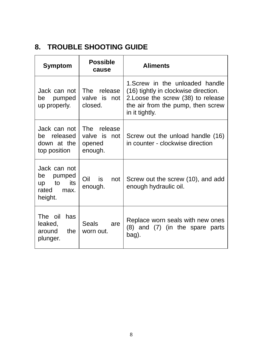## **8. TROUBLE SHOOTING GUIDE**

| <b>Symptom</b>                                                           | <b>Possible</b><br>cause                              | <b>Aliments</b>                                                                                                                                                      |  |  |
|--------------------------------------------------------------------------|-------------------------------------------------------|----------------------------------------------------------------------------------------------------------------------------------------------------------------------|--|--|
| Jack can not.<br>pumped<br>be<br>up properly.                            | The release<br>valve is not<br>closed.                | 1. Screw in the unloaded handle<br>(16) tightly in clockwise direction.<br>2. Loose the screw (38) to release<br>the air from the pump, then screw<br>in it tightly. |  |  |
| Jack can not<br>be released<br>down at the<br>top position               | The .<br>release<br>valve is not<br>opened<br>enough. | Screw out the unload handle (16)<br>in counter - clockwise direction                                                                                                 |  |  |
| Jack can not<br>pumped<br>be<br>its<br>up to<br>rated<br>max.<br>height. | Oil<br>is<br>not<br>enough.                           | Screw out the screw (10), and add<br>enough hydraulic oil.                                                                                                           |  |  |
| The oil<br>has<br>leaked,<br>around the<br>plunger.                      | Seals<br>are<br>worn out.                             | Replace worn seals with new ones<br>(8) and (7) (in the spare parts<br>bag).                                                                                         |  |  |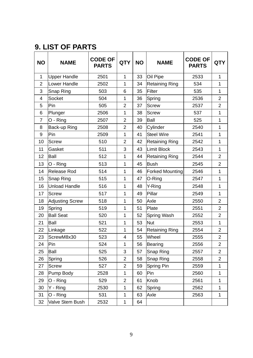### **9. LIST OF PARTS**

| <b>NO</b>      | NAME                   | <b>CODE OF</b><br><b>PARTS</b> | <b>QTY</b>     | <b>NO</b> | <b>NAME</b>            | <b>CODE OF</b><br><b>PARTS</b> | QTY            |
|----------------|------------------------|--------------------------------|----------------|-----------|------------------------|--------------------------------|----------------|
| 1              | <b>Upper Handle</b>    | 2501                           | 1              | 33        | Oil Pipe               | 2533                           | 1              |
| $\overline{2}$ | Lower Handle           | 2502                           | 1              | 34        | <b>Retaining Ring</b>  | 534                            | 1              |
| 3              | Snap Ring              | 503                            | 6              | 35        | Filter                 | 535                            | 1              |
| 4              | Socket                 | 504                            | 1              | 36        | Spring                 | 2536                           | $\overline{2}$ |
| 5              | Pin                    | 505                            | 2              | 37        | Screw                  | 2537                           | $\overline{2}$ |
| 6              | Plunger                | 2506                           | 1              | 38        | Screw                  | 537                            | 1              |
| $\overline{7}$ | O - Ring               | 2507                           | $\overline{2}$ | 39        | Ball                   | 525                            | 1              |
| 8              | Back-up Ring           | 2508                           | $\overline{2}$ | 40        | Cylinder               | 2540                           | 1              |
| 9              | Pin                    | 2509                           | 1              | 41        | <b>Steel Wire</b>      | 2541                           | 1              |
| 10             | Screw                  | 510                            | 2              | 42        | <b>Retaining Ring</b>  | 2542                           | 1              |
| 11             | Gasket                 | 511                            | 3              | 43        | Limit Block            | 2543                           | $\mathbf{1}$   |
| 12             | Ball                   | 512                            | 1              | 44        | Retaining Ring         | 2544                           | $\overline{2}$ |
| 13             | O - Ring               | 513                            | 1              | 45        | Bush                   | 2545                           | 2              |
| 14             | Release Rod            | 514                            | 1              | 46        | <b>Forked Mounting</b> | 2546                           | 1              |
| 15             | Snap Ring              | 515                            | $\mathbf{1}$   | 47        | O-Ring                 | 2547                           | $\mathbf{1}$   |
| 16             | Unload Handle          | 516                            | 1              | 48        | Y-Ring                 | 2548                           | 1              |
| 17             | Screw                  | 517                            | 1              | 49        | Pillar                 | 2549                           | 1              |
| 18             | <b>Adjusting Screw</b> | 518                            | 1              | 50        | Axle                   | 2550                           | $\overline{2}$ |
| 19             | Spring                 | 519                            | 1              | 51        | Plate                  | 2551                           | $\overline{2}$ |
| 20             | <b>Ball Seat</b>       | 520                            | 1              | 52        | Spring Wash            | 2552                           | 2              |
| 21             | Ball                   | 521                            | 1              | 53        | Nut                    | 2553                           | $\mathbf{1}$   |
| 22             | Linkage                | 522                            | 1              | 54        | <b>Retaining Ring</b>  | 2554                           | $\overline{2}$ |
| 23             | ScrewM8x30             | 523                            | 4              | 55        | Wheel                  | 2555                           | $\overline{2}$ |
| 24             | Pin                    | 524                            | 1              | 56        | Bearing                | 2556                           | $\overline{2}$ |
| 25             | Ball                   | 525                            | 3              | 57        | Snap Ring              | 2557                           | $\overline{2}$ |
| 26             | Spring                 | 526                            | 2              | 58        | Snap Ring              | 2558                           | 2              |
| 27             | Screw                  | 527                            | 2              | 59        | Spring Pin             | 2559                           | 1              |
| 28             | Pump Body              | 2528                           | 1              | 60        | Pin                    | 2560                           | 1              |
| 29             | O - Ring               | 529                            | $\overline{2}$ | 61        | Knob                   | 2561                           | $\mathbf{1}$   |
| 30             | Y - Ring               | 2530                           | 1              | 62        | Spring                 | 2562                           | 1              |
| 31             | O - Ring               | 531                            | 1              | 63        | Axle                   | 2563                           | 1              |
| 32             | Valve Stem Bush        | 2532                           | 1              | 64        |                        |                                |                |